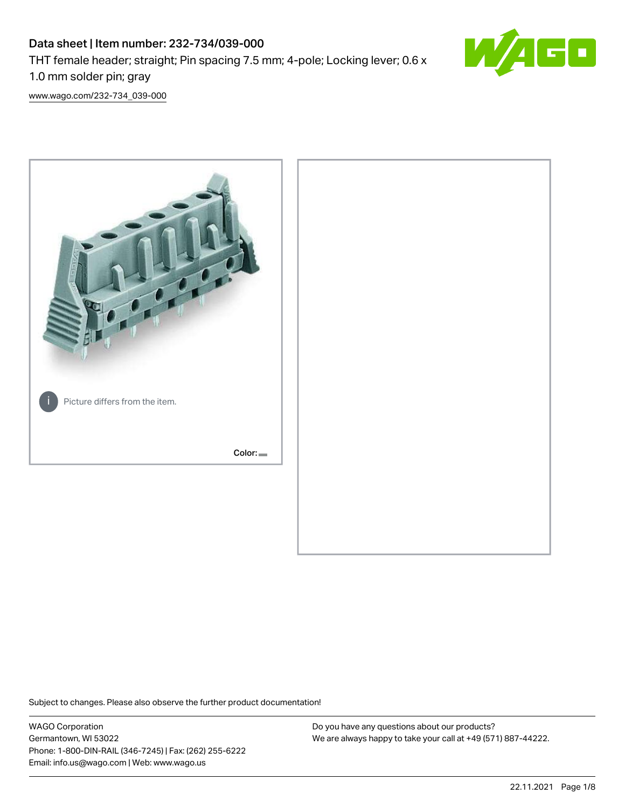# Data sheet | Item number: 232-734/039-000 THT female header; straight; Pin spacing 7.5 mm; 4-pole; Locking lever; 0.6 x 1.0 mm solder pin; gray



[www.wago.com/232-734\\_039-000](http://www.wago.com/232-734_039-000)



Subject to changes. Please also observe the further product documentation!

WAGO Corporation Germantown, WI 53022 Phone: 1-800-DIN-RAIL (346-7245) | Fax: (262) 255-6222 Email: info.us@wago.com | Web: www.wago.us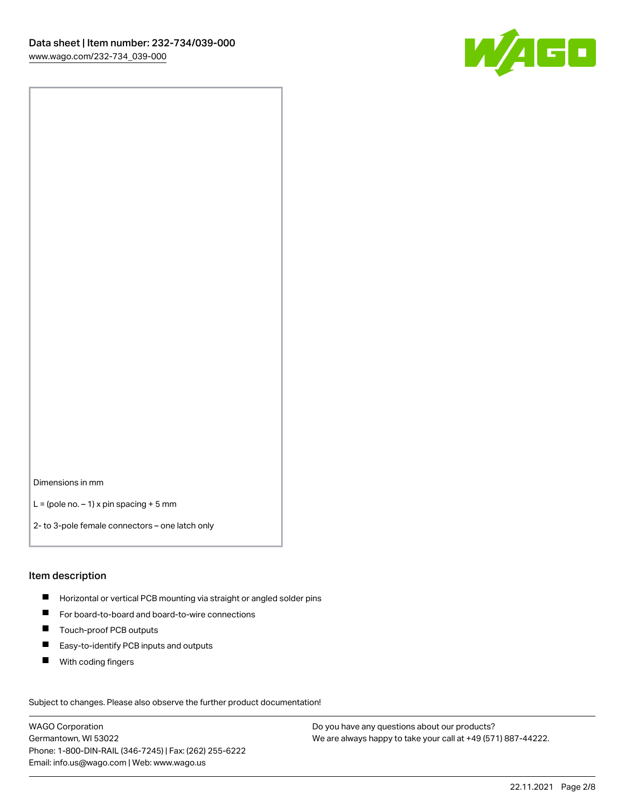

Dimensions in mm

 $L =$  (pole no.  $-1$ ) x pin spacing + 5 mm

2- to 3-pole female connectors – one latch only

### Item description

- **H** Horizontal or vertical PCB mounting via straight or angled solder pins
- For board-to-board and board-to-wire connections
- Touch-proof PCB outputs  $\blacksquare$
- $\blacksquare$ Easy-to-identify PCB inputs and outputs
- $\blacksquare$ With coding fingers

Subject to changes. Please also observe the further product documentation! Data

WAGO Corporation Germantown, WI 53022 Phone: 1-800-DIN-RAIL (346-7245) | Fax: (262) 255-6222 Email: info.us@wago.com | Web: www.wago.us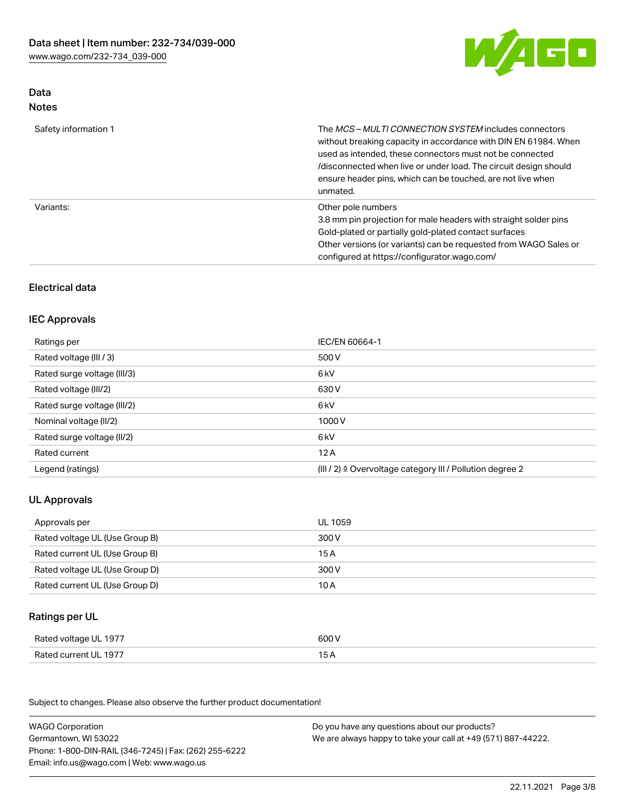

# Data Notes

| Safety information 1 | The <i>MCS – MULTI CONNECTION SYSTEM</i> includes connectors<br>without breaking capacity in accordance with DIN EN 61984. When<br>used as intended, these connectors must not be connected<br>/disconnected when live or under load. The circuit design should<br>ensure header pins, which can be touched, are not live when<br>unmated. |
|----------------------|--------------------------------------------------------------------------------------------------------------------------------------------------------------------------------------------------------------------------------------------------------------------------------------------------------------------------------------------|
| Variants:            | Other pole numbers<br>3.8 mm pin projection for male headers with straight solder pins<br>Gold-plated or partially gold-plated contact surfaces<br>Other versions (or variants) can be requested from WAGO Sales or<br>configured at https://configurator.wago.com/                                                                        |

# Electrical data

### IEC Approvals

| Ratings per                 | IEC/EN 60664-1                                                        |
|-----------------------------|-----------------------------------------------------------------------|
| Rated voltage (III / 3)     | 500 V                                                                 |
| Rated surge voltage (III/3) | 6 <sub>kV</sub>                                                       |
| Rated voltage (III/2)       | 630 V                                                                 |
| Rated surge voltage (III/2) | 6 <sub>kV</sub>                                                       |
| Nominal voltage (II/2)      | 1000V                                                                 |
| Rated surge voltage (II/2)  | 6 <sub>kV</sub>                                                       |
| Rated current               | 12A                                                                   |
| Legend (ratings)            | $(III / 2)$ $\triangle$ Overvoltage category III / Pollution degree 2 |

# UL Approvals

| Approvals per                  | UL 1059 |
|--------------------------------|---------|
| Rated voltage UL (Use Group B) | 300 V   |
| Rated current UL (Use Group B) | 15 A    |
| Rated voltage UL (Use Group D) | 300 V   |
| Rated current UL (Use Group D) | 10 A    |

# Ratings per UL

| Rated voltage UL 1977 | 600 V |
|-----------------------|-------|
| Rated current UL 1977 |       |

Subject to changes. Please also observe the further product documentation!

| <b>WAGO Corporation</b>                                | Do you have any questions about our products?                 |
|--------------------------------------------------------|---------------------------------------------------------------|
| Germantown, WI 53022                                   | We are always happy to take your call at +49 (571) 887-44222. |
| Phone: 1-800-DIN-RAIL (346-7245)   Fax: (262) 255-6222 |                                                               |
| Email: info.us@wago.com   Web: www.wago.us             |                                                               |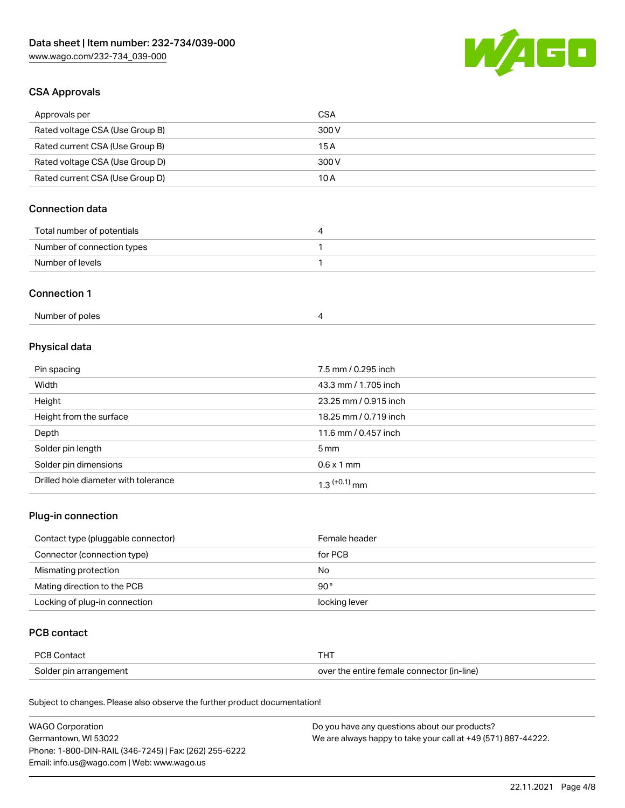

### CSA Approvals

| Approvals per                   | CSA   |
|---------------------------------|-------|
| Rated voltage CSA (Use Group B) | 300 V |
| Rated current CSA (Use Group B) | 15 A  |
| Rated voltage CSA (Use Group D) | 300 V |
| Rated current CSA (Use Group D) | 10 A  |

# Connection data

| Total number of potentials |  |
|----------------------------|--|
| Number of connection types |  |
| Number of levels           |  |

### Connection 1

# Physical data

| Pin spacing                          | 7.5 mm / 0.295 inch   |
|--------------------------------------|-----------------------|
| Width                                | 43.3 mm / 1.705 inch  |
| Height                               | 23.25 mm / 0.915 inch |
| Height from the surface              | 18.25 mm / 0.719 inch |
| Depth                                | 11.6 mm / 0.457 inch  |
| Solder pin length                    | $5 \,\mathrm{mm}$     |
| Solder pin dimensions                | $0.6 \times 1$ mm     |
| Drilled hole diameter with tolerance | $1.3$ $(+0.1)$ mm     |

# Plug-in connection

| Contact type (pluggable connector) | Female header |
|------------------------------------|---------------|
| Connector (connection type)        | for PCB       |
| Mismating protection               | No            |
| Mating direction to the PCB        | $90^{\circ}$  |
| Locking of plug-in connection      | locking lever |

### PCB contact

| <b>PCB Contact</b>     |                                            |
|------------------------|--------------------------------------------|
| Solder pin arrangement | over the entire female connector (in-line) |

Subject to changes. Please also observe the further product documentation!

| <b>WAGO Corporation</b>                                | Do you have any questions about our products?                 |
|--------------------------------------------------------|---------------------------------------------------------------|
| Germantown, WI 53022                                   | We are always happy to take your call at +49 (571) 887-44222. |
| Phone: 1-800-DIN-RAIL (346-7245)   Fax: (262) 255-6222 |                                                               |
| Email: info.us@wago.com   Web: www.wago.us             |                                                               |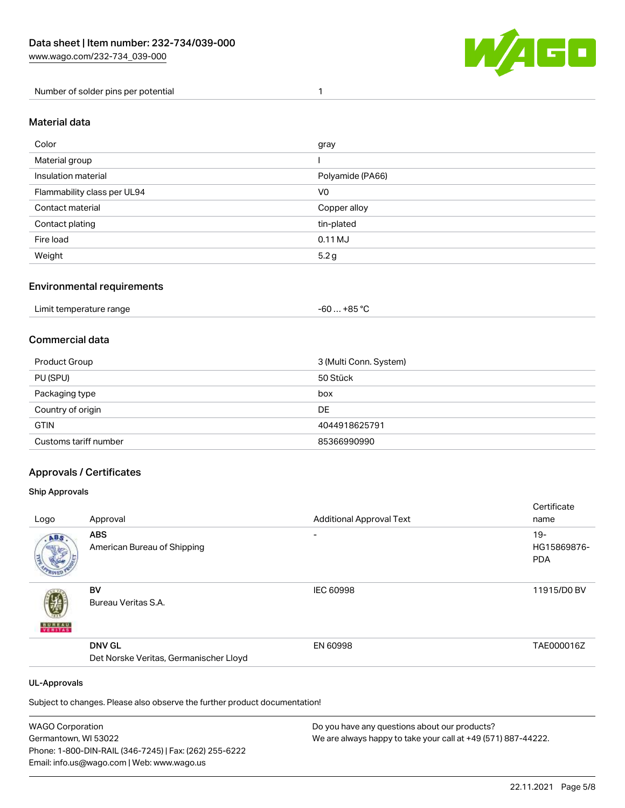

Number of solder pins per potential 1

### Material data

| Color                       | gray             |
|-----------------------------|------------------|
| Material group              |                  |
| Insulation material         | Polyamide (PA66) |
| Flammability class per UL94 | V <sub>0</sub>   |
| Contact material            | Copper alloy     |
| Contact plating             | tin-plated       |
| Fire load                   | $0.11$ MJ        |
| Weight                      | 5.2 g            |

### Environmental requirements

| Limit temperature range<br>.<br>. | . +85 °Ր<br>-60 |  |
|-----------------------------------|-----------------|--|
|-----------------------------------|-----------------|--|

### Commercial data

| Product Group         | 3 (Multi Conn. System) |
|-----------------------|------------------------|
| PU (SPU)              | 50 Stück               |
| Packaging type        | box                    |
| Country of origin     | DE                     |
| <b>GTIN</b>           | 4044918625791          |
| Customs tariff number | 85366990990            |

### Approvals / Certificates

#### Ship Approvals

|                     |                                        |                                 | Certificate |
|---------------------|----------------------------------------|---------------------------------|-------------|
| Logo                | Approval                               | <b>Additional Approval Text</b> | name        |
| ABS.                | <b>ABS</b>                             | $\overline{\phantom{0}}$        | $19 -$      |
|                     | American Bureau of Shipping            |                                 | HG15869876- |
|                     |                                        |                                 | <b>PDA</b>  |
|                     | BV                                     | <b>IEC 60998</b>                | 11915/D0 BV |
|                     | Bureau Veritas S.A.                    |                                 |             |
| <b>BUREAU</b>       |                                        |                                 |             |
|                     | <b>DNV GL</b>                          | EN 60998                        | TAE000016Z  |
|                     | Det Norske Veritas, Germanischer Lloyd |                                 |             |
| <b>UL-Approvals</b> |                                        |                                 |             |
|                     |                                        |                                 |             |

Subject to changes. Please also observe the further product documentation!

| <b>WAGO Corporation</b>                                | Do you have any questions about our products?                 |
|--------------------------------------------------------|---------------------------------------------------------------|
| Germantown, WI 53022                                   | We are always happy to take your call at +49 (571) 887-44222. |
| Phone: 1-800-DIN-RAIL (346-7245)   Fax: (262) 255-6222 |                                                               |
| Email: info.us@wago.com   Web: www.wago.us             |                                                               |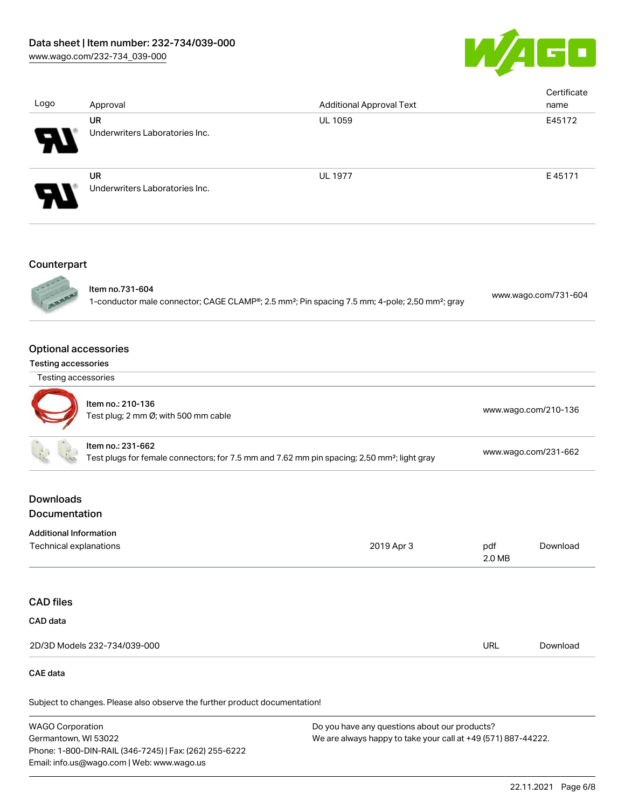

| Logo                                                                                                                         | Approval                                                  | <b>Additional Approval Text</b>                                                                                        |               | Certificate<br>name  |
|------------------------------------------------------------------------------------------------------------------------------|-----------------------------------------------------------|------------------------------------------------------------------------------------------------------------------------|---------------|----------------------|
|                                                                                                                              | <b>UR</b>                                                 | <b>UL 1059</b>                                                                                                         |               | E45172               |
|                                                                                                                              | Underwriters Laboratories Inc.                            |                                                                                                                        |               |                      |
|                                                                                                                              | <b>UR</b><br>Underwriters Laboratories Inc.               | <b>UL 1977</b>                                                                                                         |               | E45171               |
| Counterpart                                                                                                                  |                                                           |                                                                                                                        |               |                      |
|                                                                                                                              | Item no.731-604                                           | 1-conductor male connector; CAGE CLAMP®; 2.5 mm <sup>2</sup> ; Pin spacing 7.5 mm; 4-pole; 2,50 mm <sup>2</sup> ; gray |               | www.wago.com/731-604 |
| <b>Optional accessories</b><br>Testing accessories                                                                           |                                                           |                                                                                                                        |               |                      |
| Testing accessories                                                                                                          |                                                           |                                                                                                                        |               |                      |
|                                                                                                                              | Item no.: 210-136<br>Test plug; 2 mm Ø; with 500 mm cable |                                                                                                                        |               | www.wago.com/210-136 |
| Item no.: 231-662<br>Test plugs for female connectors; for 7.5 mm and 7.62 mm pin spacing; 2,50 mm <sup>2</sup> ; light gray |                                                           | www.wago.com/231-662                                                                                                   |               |                      |
| <b>Downloads</b><br>Documentation                                                                                            |                                                           |                                                                                                                        |               |                      |
| <b>Additional Information</b>                                                                                                |                                                           |                                                                                                                        |               |                      |
| <b>Technical explanations</b>                                                                                                |                                                           | 2019 Apr 3                                                                                                             | pdf<br>2.0 MB | Download             |
| <b>CAD files</b>                                                                                                             |                                                           |                                                                                                                        |               |                      |
| CAD data                                                                                                                     |                                                           |                                                                                                                        |               |                      |
|                                                                                                                              | 2D/3D Models 232-734/039-000                              |                                                                                                                        | <b>URL</b>    | Download             |

#### CAE data

Subject to changes. Please also observe the further product documentation!

WAGO Corporation Germantown, WI 53022 Phone: 1-800-DIN-RAIL (346-7245) | Fax: (262) 255-6222 Email: info.us@wago.com | Web: www.wago.us Do you have any questions about our products? We are always happy to take your call at +49 (571) 887-44222.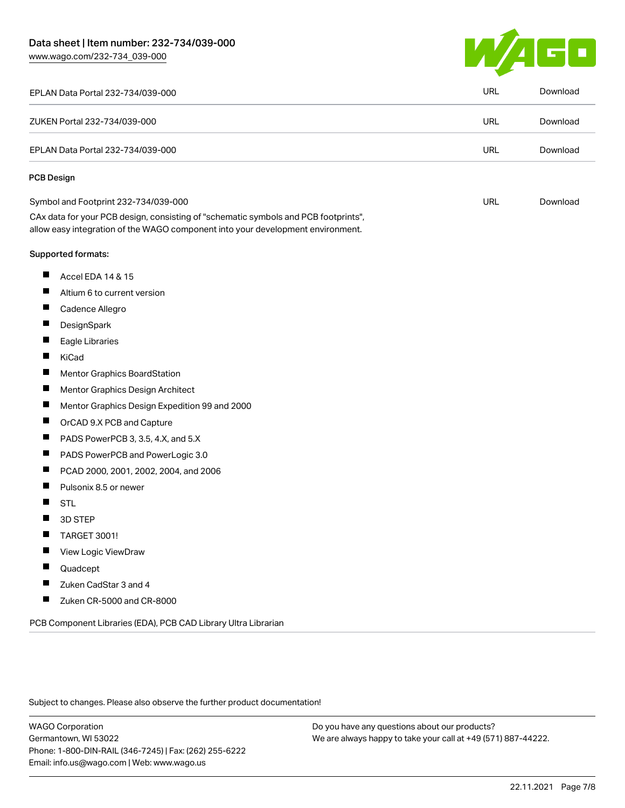[www.wago.com/232-734\\_039-000](http://www.wago.com/232-734_039-000)



| EPLAN Data Portal 232-734/039-000                                                                                                                                      | <b>URL</b> | Download |
|------------------------------------------------------------------------------------------------------------------------------------------------------------------------|------------|----------|
| ZUKEN Portal 232-734/039-000                                                                                                                                           | URL        | Download |
| EPLAN Data Portal 232-734/039-000                                                                                                                                      | <b>URL</b> | Download |
| <b>PCB Design</b>                                                                                                                                                      |            |          |
| Symbol and Footprint 232-734/039-000                                                                                                                                   | <b>URL</b> | Download |
| CAx data for your PCB design, consisting of "schematic symbols and PCB footprints",<br>allow easy integration of the WAGO component into your development environment. |            |          |
| <b>Supported formats:</b>                                                                                                                                              |            |          |
| ш<br>Accel EDA 14 & 15                                                                                                                                                 |            |          |
| Ш<br>Altium 6 to current version                                                                                                                                       |            |          |
| Ш<br>Cadence Allegro                                                                                                                                                   |            |          |
| П<br>DesignSpark                                                                                                                                                       |            |          |
| Ш<br>Eagle Libraries                                                                                                                                                   |            |          |
| ш<br>KiCad                                                                                                                                                             |            |          |
| ш<br>Mentor Graphics BoardStation                                                                                                                                      |            |          |
| Ц<br>Mentor Graphics Design Architect                                                                                                                                  |            |          |
| ш<br>Mentor Graphics Design Expedition 99 and 2000                                                                                                                     |            |          |
| ш<br>OrCAD 9.X PCB and Capture                                                                                                                                         |            |          |
| ш<br>PADS PowerPCB 3, 3.5, 4.X, and 5.X                                                                                                                                |            |          |
| П<br>PADS PowerPCB and PowerLogic 3.0                                                                                                                                  |            |          |
| П<br>PCAD 2000, 2001, 2002, 2004, and 2006                                                                                                                             |            |          |
| ш<br>Pulsonix 8.5 or newer                                                                                                                                             |            |          |
| <b>STL</b>                                                                                                                                                             |            |          |
| 3D STEP<br>ш                                                                                                                                                           |            |          |
| ш<br>TARGET 3001!                                                                                                                                                      |            |          |
| View Logic ViewDraw                                                                                                                                                    |            |          |
| Quadcept                                                                                                                                                               |            |          |
| Zuken CadStar 3 and 4<br>П                                                                                                                                             |            |          |
| ш<br>Zuken CR-5000 and CR-8000                                                                                                                                         |            |          |

Subject to changes. Please also observe the further product documentation!

WAGO Corporation Germantown, WI 53022 Phone: 1-800-DIN-RAIL (346-7245) | Fax: (262) 255-6222 Email: info.us@wago.com | Web: www.wago.us